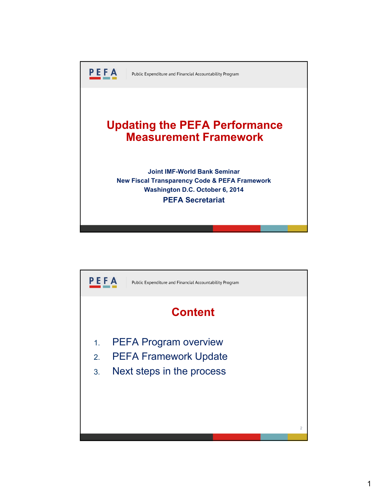

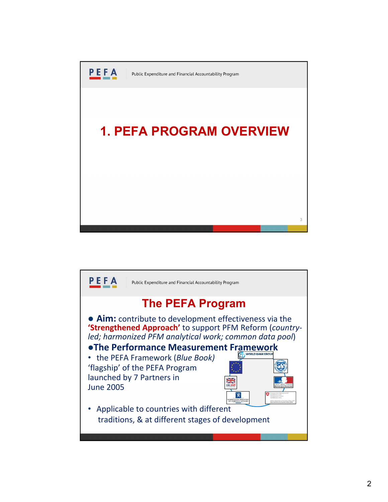

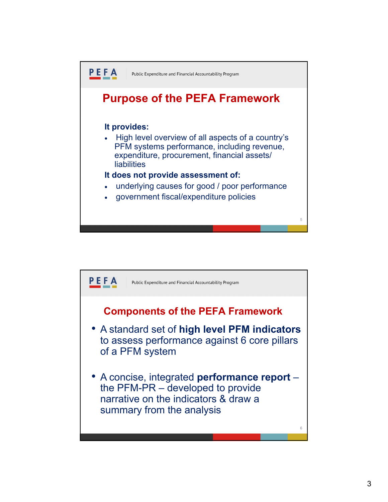

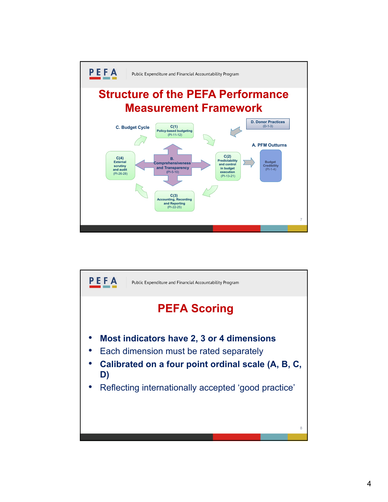

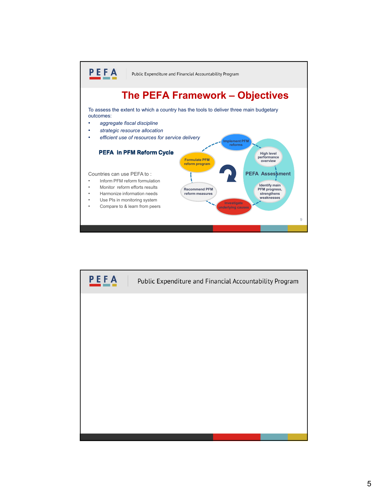

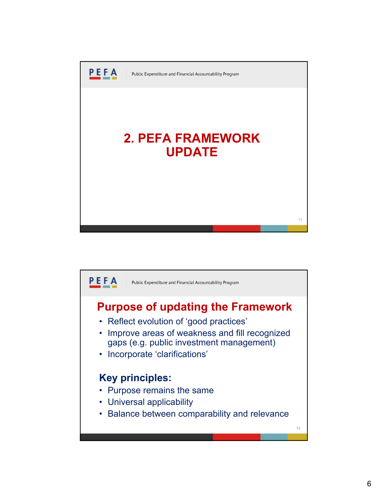

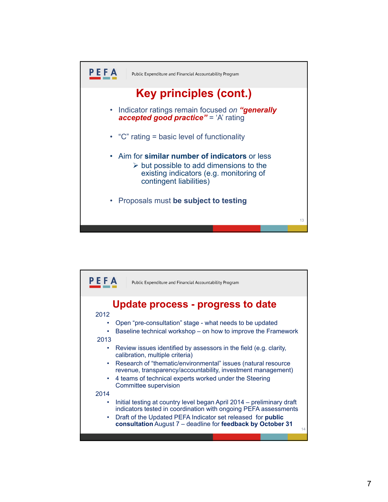

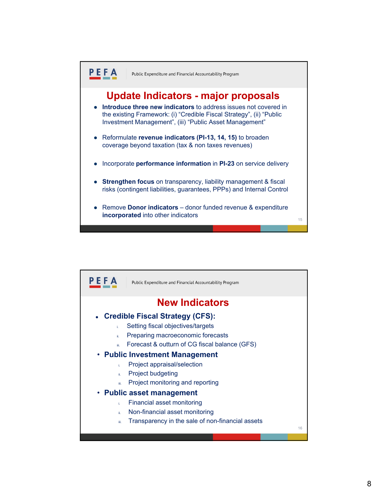

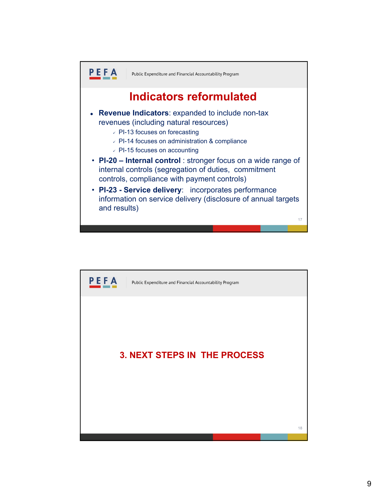